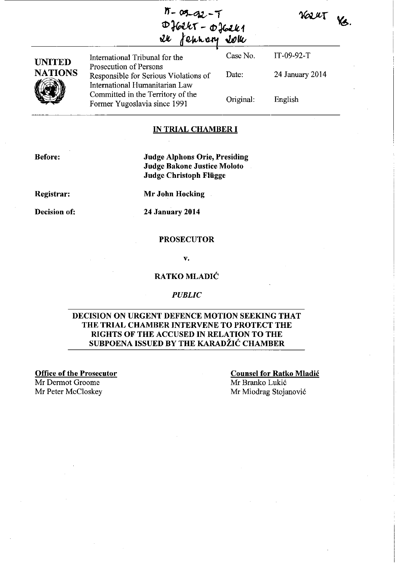| $1 - 09 - 92 - 7$ |  |
|-------------------|--|
| $Dfokr - Dfokl$   |  |
| 26 fehrory 2014   |  |
|                   |  |

KOLUT NS.

| <b>UNITED</b><br><b>NATIONS</b> | International Tribunal for the                                                                    | Case No.  | IT-09-92- $T$   |
|---------------------------------|---------------------------------------------------------------------------------------------------|-----------|-----------------|
|                                 | Prosecution of Persons<br>Responsible for Serious Violations of<br>International Humanitarian Law | Date:     | 24 January 2014 |
|                                 | Committed in the Territory of the<br>Former Yugoslavia since 1991                                 | Original: | English         |

#### IN TRIAL CHAMBER **I**

Before:

Judge Alphons Orie, Presiding Judge Bakone Justice Moloto Judge Christoph Fliigge

Registrar:

Decision of:

Mr John Hocking

24 January 2014

#### **PROSECUTOR**

v.

### RATKO MLADIC

#### *PUBLIC*

### DECISION ON URGENT DEFENCE MOTION SEEKING THAT THE TRIAL CHAMBER INTERVENE TO PROTECT THE RIGHTS OF THE ACCUSED IN RELATION TO THE SUBPOENA ISSUED BY THE KARADŽIĆ CHAMBER

Office of the Prosecutor

Mr Dermot Groome Mr Peter McCloskey Counsel for Ratko Mladic Mr Branko Lukic Mr Miodrag Stojanovic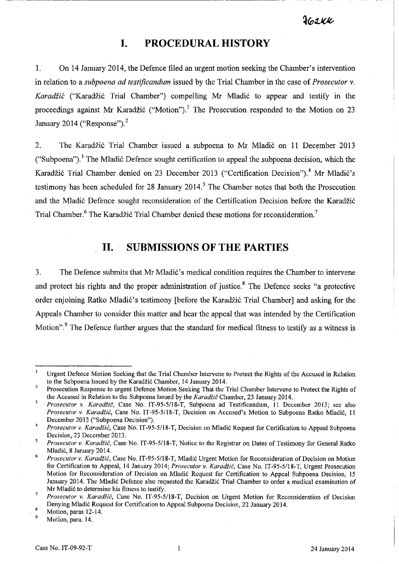$262$ 

### **I. PROCEDURAL HISTORY**

----------------

1. On 14 January 2014, the Defence filed an urgent motion seeking the Chamber's intervention in relation to a *subpoena ad testificandum* issued by the Trial Chamber in the case of *Prosecutor* v. Karadžić ("Karadžić Trial Chamber") compelling Mr Mladić to appear and testify in the proceedings against Mr Karadžić ("Motion").<sup>1</sup> The Prosecution responded to the Motion on 23 January 2014 ("Response"). $<sup>2</sup>$ </sup>

2. The Karadžić Trial Chamber issued a subpoena to Mr Mladić on 11 December 2013 ("Subpoena").<sup>3</sup> The Mladić Defence sought certification to appeal the subpoena decision, which the Karadžić Trial Chamber denied on 23 December 2013 ("Certification Decision").<sup>4</sup> Mr Mladić's testimony has been scheduled for 28 January 2014.<sup>5</sup> The Chamber notes that both the Prosecution and the Mladić Defence sought reconsideration of the Certification Decision before the Karadžić Trial Chamber.<sup>6</sup> The Karadžić Trial Chamber denied these motions for reconsideration.<sup>7</sup>

### **II. SUBMISSIONS OF THE PARTIES**

3. The Defence submits that Mr Mladić's medical condition requires the Chamber to intervene and protect his rights and the proper administration of justice.<sup>8</sup> The Defence seeks "a protective order enjoining Ratko Mladić's testimony [before the Karadžić Trial Chamber] and asking for the Appeals Chamber to consider this matter and hear the appeal that was intended by the Certification Motion".<sup>9</sup> The Defence further argues that the standard for medical fitness to testify as a witness is

9 **Motion, para. 14.** 

Urgent Defence Motion Seeking that the Trial Chamber Intervene to Protect the Rights of the Accused in Relation to the Subpoena Issued by the Karadžić Chamber, 14 January 2014.

<sup>2</sup>  Prosecution Response to urgent Defence Motion Seeking That the Trial Chamber Intervene to Protect the Rights of the Accused in Relation to the Subpoena Issued by the *Karadzic* Chamber, 23 January 2014.

 $\overline{\mathbf{3}}$ *Prosecutor* v. *Karadiic,* Case No. IT-9S-S/IS-T, Subpoena ad Testificandum, II December 2013; see also Prosecutor v. Karadžić, Case No. IT-95-5/18-T, Decision on Accused's Motion to Subpoena Ratko Mladić, 11 December 2013 ("Subpoena Decision").

<sup>4</sup>  *Prosecutor v. Karadžić*, Case No. IT-95-5/18-T, Decision on Mladić Request for Certification to Appeal Subpoena Decision, 23 December 2013.

 $\overline{5}$ *Prosecutor* v. *Karadiic,* Case No. IT-9S-S/IS-T, Notice to the Registrar on Dates of Testimony for General Ratko Mladi6, S January 2014.

<sup>6</sup>  *Prosecutor v. Karadžić, Case No. IT-95-5/18-T, Mladić Urgent Motion for Reconsideration of Decision on Motion* for Certification to Appeal, 14 January 2014; *Prosecutor* v. *Karadii6,* Case No. IT-9S-SI18-T, Urgent Prosecution Motion for Reconsideration of Decision on Mladić Request for Certification to Appeal Subpoena Decision, 15 January 2014. The Mladić Defence also requested the Karadžić Trial Chamber to order a medical examination of Mr Mladić to determine his fitness to testify.

<sup>7</sup>  Prosecutor v. *Karadžić*, Case No. IT-95-5/18-T, Decision on Urgent Motion for Reconsideration of Decision Denying Mladi6 Request for Certification to Appeal Subpoena Decision, 22 January 2014.

Motion, paras 12-14.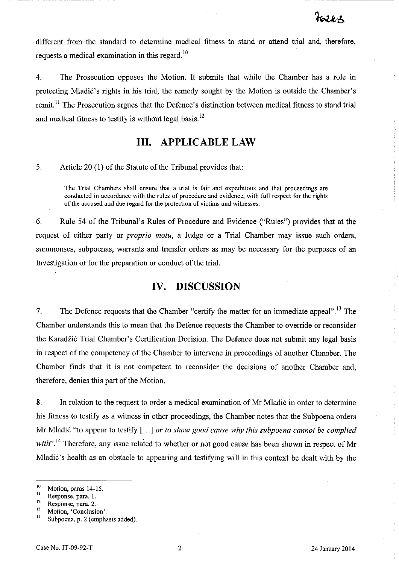--- ---------

different from the standard to determine medical fitness to stand or attend trial and, therefore, requests a medical examination in this regard.<sup>10</sup>

4. The Prosecution opposes the Motion. It submits that while the Chamber has a role in protecting Mladić's rights in his trial, the remedy sought by the Motion is outside the Chamber's remit.<sup>11</sup> The Prosecution argues that the Defence's distinction between medical fitness to stand trial and medical fitness to testify is without legal basis.<sup>12</sup>

### **III. APPLICABLE LAW**

5. Article 20 (l) of the Statute of the Tribunal provides that:

The Trial Chambers shall ensure that a trial is fair and expeditious and that proceedings are conducted in accordance with the rules of procedure and evidence, with full respect for the rights of the **accused and due regard for the protection** of victims **and witnesses,** 

6. Rule 54 of the Tribunal's Rules of Procedure and Evidence ("Rules") provides that at the request of either party or *proprio motu,* a Judge or a Trial Chamber may issue such orders, summonses, subpoenas, warrants and transfer orders as may be necessary for the purposes of an investigation or for the preparation or conduct of the trial.

# **IV. DISCUSSION**

7. The Defence requests that the Chamber "certify the matter for an immediate appeal".<sup>13</sup> The Chamber understands this to mean that the Defence requests the Chamber to override or reconsider the Karadžić Trial Chamber's Certification Decision. The Defence does not submit any legal basis in respect of the competency of the Chamber to intervene in proceedings of another Chamber. The Chamber finds that it is not competent to reconsider the decisions of another Chamber and, therefore, denies this part of the Motion.

8. In relation to the request to order a medical examination of Mr Mladić in order to determine his fitness to testify as a witness in other proceedings, the Chamber notes that the Subpoena orders Mr Mladić "to appear to testify [...] *or to show good cause why this subpoena cannot be complied* with".<sup>14</sup> Therefore, any issue related to whether or not good cause has been shown in respect of Mr Mladić's health as an obstacle to appearing and testifying will in this context be dealt with by the

<sup>&</sup>lt;sup>10</sup> Motion, paras 14-15.<br><sup>11</sup> Response, para. 1.<br><sup>12</sup> Bertaman para. 2.

**<sup>12</sup>Response, para, 2,** 

**<sup>13</sup>Motion, 'Conclusion',** 

Subpoena, p. 2 (emphasis added).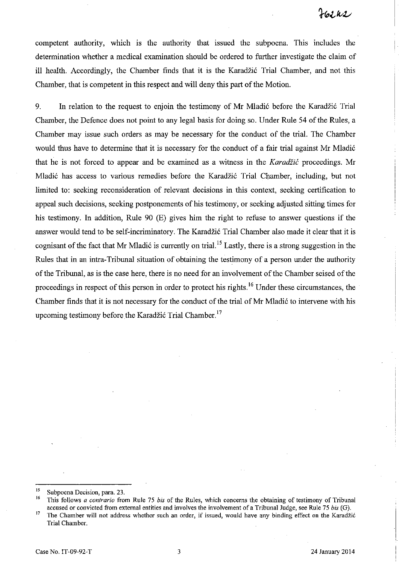competent authority, which is the authority that issued the subpoena. This includes the determination whether a medical examination should be ordered to further investigate the claim of ill health. Accordingly, the Chamber finds that it is the Karadžić Trial Chamber, and not this Chamber, that is competent in this respect and will deny this part of the Motion.

9. In relation to the request to enjoin the testimony of Mr Mladić before the Karadžić Trial Chamber, the Defence does not point to any legal basis for doing so. Under Rule 54 of the Rules, a Chamber may issue such orders as may be necessary for the conduct of the trial. The Chamber would thus have to determine that it is necessary for the conduct of a fair trial against Mr Mladić that he is not forced to appear and be examined as a witness in the *Karadžić* proceedings. Mr Mladić has access to various remedies before the Karadžić Trial Chamber, including, but not limited to: seeking reconsideration of relevant decisions in this context, seeking certification to appeal such decisions, seeking postponements of his testimony, or seeking adjusted sitting times for his testimony. **In** addition, Rule 90 (E) gives him the right to refuse to answer questions if the answer would tend to be self-incriminatory. The Karadzi6 Trial Chamber also made it clear that it is cognisant of the fact that Mr Mladić is currently on trial.<sup>15</sup> Lastly, there is a strong suggestion in the Rules that in an intra-Tribunal situation of obtaining the testimony of a person under the authority ofthe Tribunal, as is the case here, there is no need for an involvement of the Chamber seised of the proceedings in respect of this person in order to protect his rights. 16 Under these circumstances, the Chamber finds that it is not necessary for the conduct of the trial of Mr Mladić to intervene with his upcoming testimony before the Karadžić Trial Chamber.<sup>17</sup>

<sup>&</sup>lt;sup>15</sup> Subpoena Decision, para. 23.

<sup>16</sup> This follows *a contrario* from Rule 75 *bis* of the Rules, which concerns the obtaining of testimony of Tribunal accused or convicted from external entities and involves the involvement of a Tribunal Judge, see Rule 75 *bis* (G).

<sup>&</sup>lt;sup>17</sup> The Chamber will not address whether such an order, if issued, would have any binding effect on the Karadžić Trial Chamber.